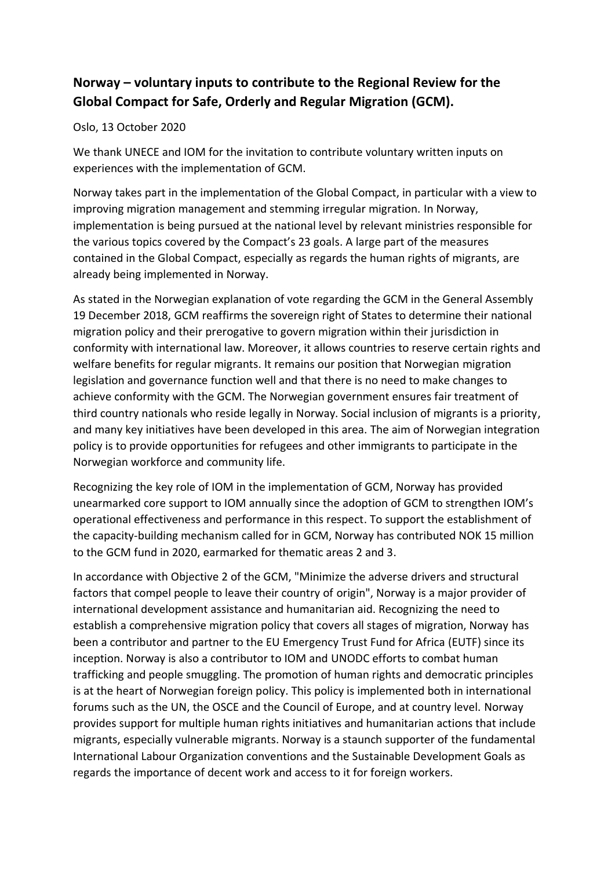## **Norway – voluntary inputs to contribute to the Regional Review for the Global Compact for Safe, Orderly and Regular Migration (GCM).**

## Oslo, 13 October 2020

We thank UNECE and IOM for the invitation to contribute voluntary written inputs on experiences with the implementation of GCM.

Norway takes part in the implementation of the Global Compact, in particular with a view to improving migration management and stemming irregular migration. In Norway, implementation is being pursued at the national level by relevant ministries responsible for the various topics covered by the Compact's 23 goals. A large part of the measures contained in the Global Compact, especially as regards the human rights of migrants, are already being implemented in Norway.

As stated in the Norwegian explanation of vote regarding the GCM in the General Assembly 19 December 2018, GCM reaffirms the sovereign right of States to determine their national migration policy and their prerogative to govern migration within their jurisdiction in conformity with international law. Moreover, it allows countries to reserve certain rights and welfare benefits for regular migrants. It remains our position that Norwegian migration legislation and governance function well and that there is no need to make changes to achieve conformity with the GCM. The Norwegian government ensures fair treatment of third country nationals who reside legally in Norway. Social inclusion of migrants is a priority, and many key initiatives have been developed in this area. The aim of Norwegian integration policy is to provide opportunities for refugees and other immigrants to participate in the Norwegian workforce and community life.

Recognizing the key role of IOM in the implementation of GCM, Norway has provided unearmarked core support to IOM annually since the adoption of GCM to strengthen IOM's operational effectiveness and performance in this respect. To support the establishment of the capacity-building mechanism called for in GCM, Norway has contributed NOK 15 million to the GCM fund in 2020, earmarked for thematic areas 2 and 3.

In accordance with Objective 2 of the GCM, "Minimize the adverse drivers and structural factors that compel people to leave their country of origin", Norway is a major provider of international development assistance and humanitarian aid. Recognizing the need to establish a comprehensive migration policy that covers all stages of migration, Norway has been a contributor and partner to the EU Emergency Trust Fund for Africa (EUTF) since its inception. Norway is also a contributor to IOM and UNODC efforts to combat human trafficking and people smuggling. The promotion of human rights and democratic principles is at the heart of Norwegian foreign policy. This policy is implemented both in international forums such as the UN, the OSCE and the Council of Europe, and at country level. Norway provides support for multiple human rights initiatives and humanitarian actions that include migrants, especially vulnerable migrants. Norway is a staunch supporter of the fundamental International Labour Organization conventions and the Sustainable Development Goals as regards the importance of decent work and access to it for foreign workers.